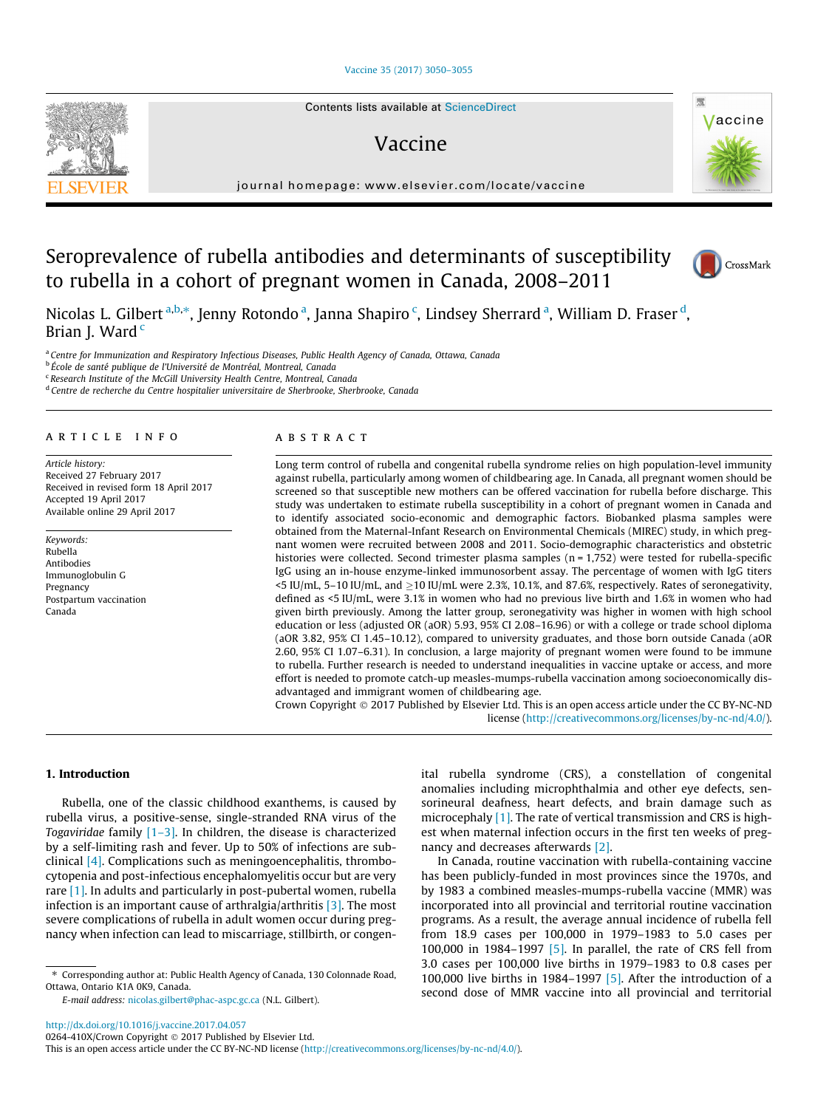## [Vaccine 35 \(2017\) 3050–3055](http://dx.doi.org/10.1016/j.vaccine.2017.04.057)

# Vaccine

journal homepage: [www.elsevier.com/locate/vaccine](http://www.elsevier.com/locate/vaccine)

# Seroprevalence of rubella antibodies and determinants of susceptibility to rubella in a cohort of pregnant women in Canada, 2008–2011

Nicolas L. Gilbert <sup>a,b,</sup>\*, Jenny Rotondo <sup>a</sup>, Janna Shapiro <sup>c</sup>, Lindsey Sherrard <sup>a</sup>, William D. Fraser <sup>d</sup>, Brian J. Ward<sup>c</sup>

<sup>a</sup> Centre for Immunization and Respiratory Infectious Diseases, Public Health Agency of Canada, Ottawa, Canada

<sup>b</sup> École de santé publique de l'Université de Montréal, Montreal, Canada

<sup>c</sup> Research Institute of the McGill University Health Centre, Montreal, Canada

<sup>d</sup> Centre de recherche du Centre hospitalier universitaire de Sherbrooke, Sherbrooke, Canada

## article info

Article history: Received 27 February 2017 Received in revised form 18 April 2017 Accepted 19 April 2017 Available online 29 April 2017

Keywords: Rubella Antibodies Immunoglobulin G Pregnancy Postpartum vaccination Canada



Long term control of rubella and congenital rubella syndrome relies on high population-level immunity against rubella, particularly among women of childbearing age. In Canada, all pregnant women should be screened so that susceptible new mothers can be offered vaccination for rubella before discharge. This study was undertaken to estimate rubella susceptibility in a cohort of pregnant women in Canada and to identify associated socio-economic and demographic factors. Biobanked plasma samples were obtained from the Maternal-Infant Research on Environmental Chemicals (MIREC) study, in which pregnant women were recruited between 2008 and 2011. Socio-demographic characteristics and obstetric histories were collected. Second trimester plasma samples (n = 1,752) were tested for rubella-specific IgG using an in-house enzyme-linked immunosorbent assay. The percentage of women with IgG titers  $\leq$  IU/mL, 5–10 IU/mL, and  $\geq$  10 IU/mL were 2.3%, 10.1%, and 87.6%, respectively. Rates of seronegativity, defined as <5 IU/mL, were 3.1% in women who had no previous live birth and 1.6% in women who had given birth previously. Among the latter group, seronegativity was higher in women with high school education or less (adjusted OR (aOR) 5.93, 95% CI 2.08–16.96) or with a college or trade school diploma (aOR 3.82, 95% CI 1.45–10.12), compared to university graduates, and those born outside Canada (aOR 2.60, 95% CI 1.07–6.31). In conclusion, a large majority of pregnant women were found to be immune to rubella. Further research is needed to understand inequalities in vaccine uptake or access, and more effort is needed to promote catch-up measles-mumps-rubella vaccination among socioeconomically disadvantaged and immigrant women of childbearing age.

Crown Copyright 2017 Published by Elsevier Ltd. This is an open access article under the CC BY-NC-ND license (<http://creativecommons.org/licenses/by-nc-nd/4.0/>).

#### 1. Introduction

Rubella, one of the classic childhood exanthems, is caused by rubella virus, a positive-sense, single-stranded RNA virus of the Togaviridae family [\[1–3\]](#page-5-0). In children, the disease is characterized by a self-limiting rash and fever. Up to 50% of infections are subclinical [\[4\].](#page-5-0) Complications such as meningoencephalitis, thrombocytopenia and post-infectious encephalomyelitis occur but are very rare [\[1\].](#page-5-0) In adults and particularly in post-pubertal women, rubella infection is an important cause of arthralgia/arthritis [\[3\].](#page-5-0) The most severe complications of rubella in adult women occur during pregnancy when infection can lead to miscarriage, stillbirth, or congenital rubella syndrome (CRS), a constellation of congenital anomalies including microphthalmia and other eye defects, sensorineural deafness, heart defects, and brain damage such as microcephaly [\[1\]](#page-5-0). The rate of vertical transmission and CRS is highest when maternal infection occurs in the first ten weeks of pregnancy and decreases afterwards [\[2\].](#page-5-0)

In Canada, routine vaccination with rubella-containing vaccine has been publicly-funded in most provinces since the 1970s, and by 1983 a combined measles-mumps-rubella vaccine (MMR) was incorporated into all provincial and territorial routine vaccination programs. As a result, the average annual incidence of rubella fell from 18.9 cases per 100,000 in 1979–1983 to 5.0 cases per 100,000 in 1984–1997 [\[5\]](#page-5-0). In parallel, the rate of CRS fell from 3.0 cases per 100,000 live births in 1979–1983 to 0.8 cases per 100,000 live births in 1984–1997 [\[5\].](#page-5-0) After the introduction of a second dose of MMR vaccine into all provincial and territorial



CrossMark



<sup>⇑</sup> Corresponding author at: Public Health Agency of Canada, 130 Colonnade Road, Ottawa, Ontario K1A 0K9, Canada.

E-mail address: [nicolas.gilbert@phac-aspc.gc.ca](mailto:nicolas.gilbert@phac-aspc.gc.ca) (N.L. Gilbert).

This is an open access article under the CC BY-NC-ND license [\(http://creativecommons.org/licenses/by-nc-nd/4.0/](http://creativecommons.org/licenses/by-nc-nd/4.0/)).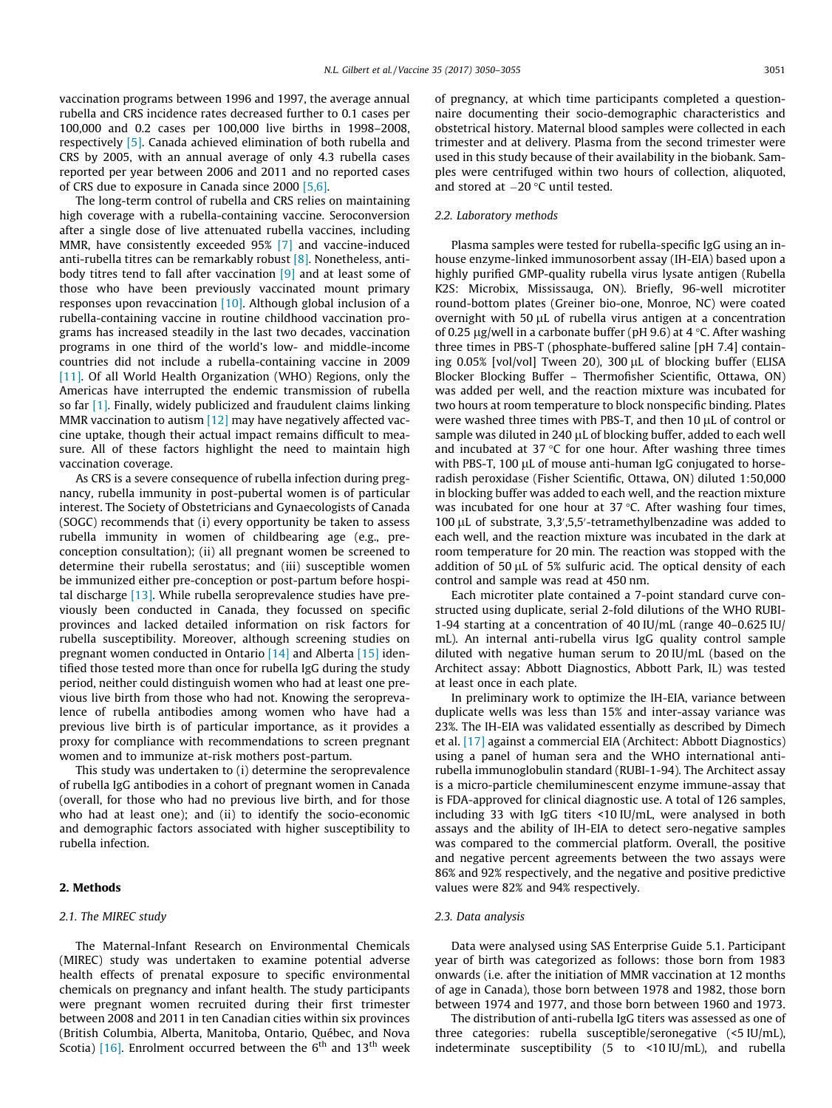vaccination programs between 1996 and 1997, the average annual rubella and CRS incidence rates decreased further to 0.1 cases per 100,000 and 0.2 cases per 100,000 live births in 1998–2008, respectively [\[5\].](#page-5-0) Canada achieved elimination of both rubella and CRS by 2005, with an annual average of only 4.3 rubella cases reported per year between 2006 and 2011 and no reported cases of CRS due to exposure in Canada since 2000 [\[5,6\]](#page-5-0).

The long-term control of rubella and CRS relies on maintaining high coverage with a rubella-containing vaccine. Seroconversion after a single dose of live attenuated rubella vaccines, including MMR, have consistently exceeded 95% [\[7\]](#page-5-0) and vaccine-induced anti-rubella titres can be remarkably robust [\[8\].](#page-5-0) Nonetheless, antibody titres tend to fall after vaccination [\[9\]](#page-5-0) and at least some of those who have been previously vaccinated mount primary responses upon revaccination [\[10\].](#page-5-0) Although global inclusion of a rubella-containing vaccine in routine childhood vaccination programs has increased steadily in the last two decades, vaccination programs in one third of the world's low- and middle-income countries did not include a rubella-containing vaccine in 2009 [\[11\].](#page-5-0) Of all World Health Organization (WHO) Regions, only the Americas have interrupted the endemic transmission of rubella so far  $[1]$ . Finally, widely publicized and fraudulent claims linking MMR vaccination to autism [\[12\]](#page-5-0) may have negatively affected vaccine uptake, though their actual impact remains difficult to measure. All of these factors highlight the need to maintain high vaccination coverage.

As CRS is a severe consequence of rubella infection during pregnancy, rubella immunity in post-pubertal women is of particular interest. The Society of Obstetricians and Gynaecologists of Canada (SOGC) recommends that (i) every opportunity be taken to assess rubella immunity in women of childbearing age (e.g., preconception consultation); (ii) all pregnant women be screened to determine their rubella serostatus; and (iii) susceptible women be immunized either pre-conception or post-partum before hospital discharge [\[13\]](#page-5-0). While rubella seroprevalence studies have previously been conducted in Canada, they focussed on specific provinces and lacked detailed information on risk factors for rubella susceptibility. Moreover, although screening studies on pregnant women conducted in Ontario [\[14\]](#page-5-0) and Alberta [\[15\]](#page-5-0) identified those tested more than once for rubella IgG during the study period, neither could distinguish women who had at least one previous live birth from those who had not. Knowing the seroprevalence of rubella antibodies among women who have had a previous live birth is of particular importance, as it provides a proxy for compliance with recommendations to screen pregnant women and to immunize at-risk mothers post-partum.

This study was undertaken to (i) determine the seroprevalence of rubella IgG antibodies in a cohort of pregnant women in Canada (overall, for those who had no previous live birth, and for those who had at least one); and (ii) to identify the socio-economic and demographic factors associated with higher susceptibility to rubella infection.

## 2. Methods

## 2.1. The MIREC study

The Maternal-Infant Research on Environmental Chemicals (MIREC) study was undertaken to examine potential adverse health effects of prenatal exposure to specific environmental chemicals on pregnancy and infant health. The study participants were pregnant women recruited during their first trimester between 2008 and 2011 in ten Canadian cities within six provinces (British Columbia, Alberta, Manitoba, Ontario, Québec, and Nova Scotia) [\[16\].](#page-5-0) Enrolment occurred between the  $6<sup>th</sup>$  and  $13<sup>th</sup>$  week of pregnancy, at which time participants completed a questionnaire documenting their socio-demographic characteristics and obstetrical history. Maternal blood samples were collected in each trimester and at delivery. Plasma from the second trimester were used in this study because of their availability in the biobank. Samples were centrifuged within two hours of collection, aliquoted, and stored at  $-20$  °C until tested.

### 2.2. Laboratory methods

Plasma samples were tested for rubella-specific IgG using an inhouse enzyme-linked immunosorbent assay (IH-EIA) based upon a highly purified GMP-quality rubella virus lysate antigen (Rubella K2S: Microbix, Mississauga, ON). Briefly, 96-well microtiter round-bottom plates (Greiner bio-one, Monroe, NC) were coated overnight with 50  $\mu$ L of rubella virus antigen at a concentration of 0.25  $\mu$ g/well in a carbonate buffer (pH 9.6) at 4 °C. After washing three times in PBS-T (phosphate-buffered saline [pH 7.4] containing  $0.05\%$  [vol/vol] Tween 20), 300  $\mu$ L of blocking buffer (ELISA Blocker Blocking Buffer – Thermofisher Scientific, Ottawa, ON) was added per well, and the reaction mixture was incubated for two hours at room temperature to block nonspecific binding. Plates were washed three times with PBS-T, and then  $10 \mu$ L of control or sample was diluted in 240  $\mu$ L of blocking buffer, added to each well and incubated at 37 $\degree$ C for one hour. After washing three times with PBS-T,  $100 \mu L$  of mouse anti-human IgG conjugated to horseradish peroxidase (Fisher Scientific, Ottawa, ON) diluted 1:50,000 in blocking buffer was added to each well, and the reaction mixture was incubated for one hour at  $37$  °C. After washing four times, 100 µL of substrate, 3,3',5,5'-tetramethylbenzadine was added to each well, and the reaction mixture was incubated in the dark at room temperature for 20 min. The reaction was stopped with the addition of 50  $\mu$ L of 5% sulfuric acid. The optical density of each control and sample was read at 450 nm.

Each microtiter plate contained a 7-point standard curve constructed using duplicate, serial 2-fold dilutions of the WHO RUBI-1-94 starting at a concentration of 40 IU/mL (range 40–0.625 IU/ mL). An internal anti-rubella virus IgG quality control sample diluted with negative human serum to 20 IU/mL (based on the Architect assay: Abbott Diagnostics, Abbott Park, IL) was tested at least once in each plate.

In preliminary work to optimize the IH-EIA, variance between duplicate wells was less than 15% and inter-assay variance was 23%. The IH-EIA was validated essentially as described by Dimech et al. [\[17\]](#page-5-0) against a commercial EIA (Architect: Abbott Diagnostics) using a panel of human sera and the WHO international antirubella immunoglobulin standard (RUBI-1-94). The Architect assay is a micro-particle chemiluminescent enzyme immune-assay that is FDA-approved for clinical diagnostic use. A total of 126 samples, including 33 with IgG titers <10 IU/mL, were analysed in both assays and the ability of IH-EIA to detect sero-negative samples was compared to the commercial platform. Overall, the positive and negative percent agreements between the two assays were 86% and 92% respectively, and the negative and positive predictive values were 82% and 94% respectively.

## 2.3. Data analysis

Data were analysed using SAS Enterprise Guide 5.1. Participant year of birth was categorized as follows: those born from 1983 onwards (i.e. after the initiation of MMR vaccination at 12 months of age in Canada), those born between 1978 and 1982, those born between 1974 and 1977, and those born between 1960 and 1973.

The distribution of anti-rubella IgG titers was assessed as one of three categories: rubella susceptible/seronegative (<5 IU/mL), indeterminate susceptibility (5 to <10 IU/mL), and rubella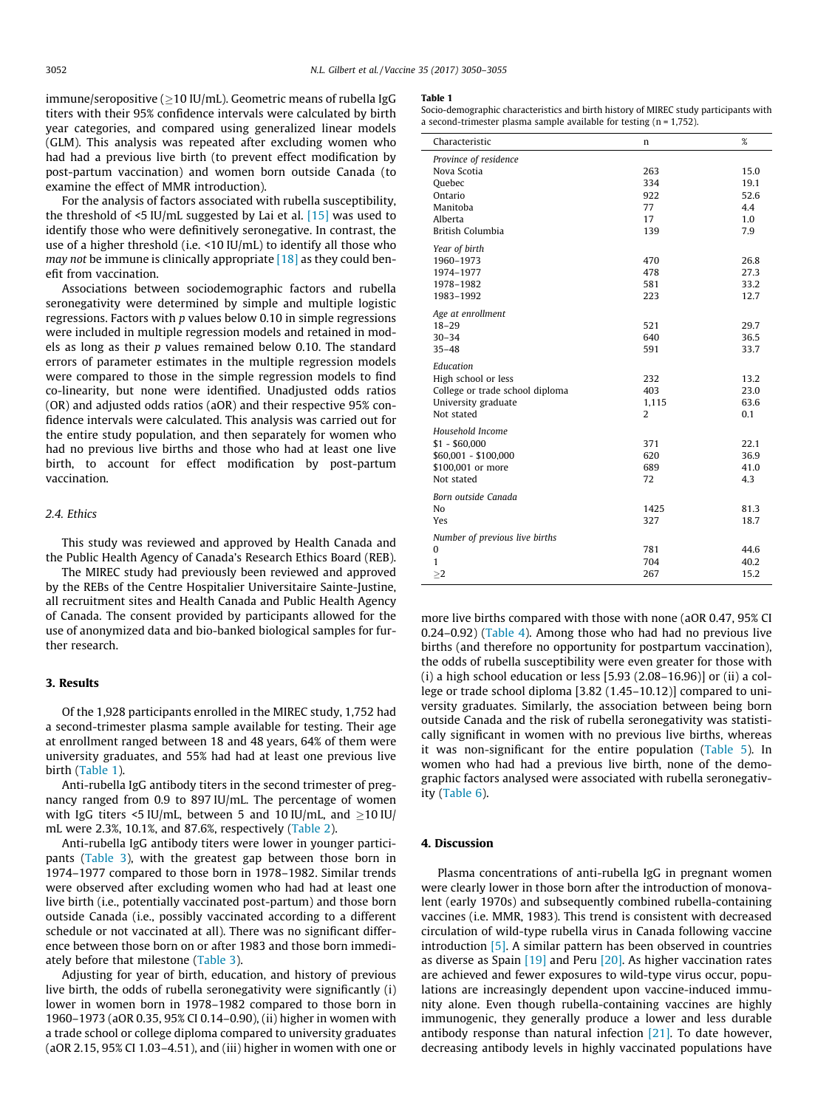immune/seropositive ( $>10$  IU/mL). Geometric means of rubella IgG titers with their 95% confidence intervals were calculated by birth year categories, and compared using generalized linear models (GLM). This analysis was repeated after excluding women who had had a previous live birth (to prevent effect modification by post-partum vaccination) and women born outside Canada (to examine the effect of MMR introduction).

For the analysis of factors associated with rubella susceptibility, the threshold of  $\leq$ 5 IU/mL suggested by Lai et al. [\[15\]](#page-5-0) was used to identify those who were definitively seronegative. In contrast, the use of a higher threshold (i.e. <10 IU/mL) to identify all those who may not be immune is clinically appropriate  $[18]$  as they could benefit from vaccination.

Associations between sociodemographic factors and rubella seronegativity were determined by simple and multiple logistic regressions. Factors with p values below 0.10 in simple regressions were included in multiple regression models and retained in models as long as their p values remained below 0.10. The standard errors of parameter estimates in the multiple regression models were compared to those in the simple regression models to find co-linearity, but none were identified. Unadjusted odds ratios (OR) and adjusted odds ratios (aOR) and their respective 95% confidence intervals were calculated. This analysis was carried out for the entire study population, and then separately for women who had no previous live births and those who had at least one live birth, to account for effect modification by post-partum vaccination.

## 2.4. Ethics

This study was reviewed and approved by Health Canada and the Public Health Agency of Canada's Research Ethics Board (REB).

The MIREC study had previously been reviewed and approved by the REBs of the Centre Hospitalier Universitaire Sainte-Justine, all recruitment sites and Health Canada and Public Health Agency of Canada. The consent provided by participants allowed for the use of anonymized data and bio-banked biological samples for further research.

## 3. Results

Of the 1,928 participants enrolled in the MIREC study, 1,752 had a second-trimester plasma sample available for testing. Their age at enrollment ranged between 18 and 48 years, 64% of them were university graduates, and 55% had had at least one previous live birth (Table 1).

Anti-rubella IgG antibody titers in the second trimester of pregnancy ranged from 0.9 to 897 IU/mL. The percentage of women with IgG titers <5 IU/mL, between 5 and 10 IU/mL, and  $\geq$ 10 IU/ mL were 2.3%, 10.1%, and 87.6%, respectively [\(Table 2\)](#page-3-0).

Anti-rubella IgG antibody titers were lower in younger participants [\(Table 3\)](#page-3-0), with the greatest gap between those born in 1974–1977 compared to those born in 1978–1982. Similar trends were observed after excluding women who had had at least one live birth (i.e., potentially vaccinated post-partum) and those born outside Canada (i.e., possibly vaccinated according to a different schedule or not vaccinated at all). There was no significant difference between those born on or after 1983 and those born immediately before that milestone [\(Table 3](#page-3-0)).

Adjusting for year of birth, education, and history of previous live birth, the odds of rubella seronegativity were significantly (i) lower in women born in 1978–1982 compared to those born in 1960–1973 (aOR 0.35, 95% CI 0.14–0.90), (ii) higher in women with a trade school or college diploma compared to university graduates (aOR 2.15, 95% CI 1.03–4.51), and (iii) higher in women with one or

#### Table 1

Socio-demographic characteristics and birth history of MIREC study participants with a second-trimester plasma sample available for testing  $(n = 1,752)$ .

| Characteristic                  | n              | %    |
|---------------------------------|----------------|------|
| Province of residence           |                |      |
| Nova Scotia                     | 263            | 15.0 |
| Ouebec                          | 334            | 19.1 |
| Ontario                         | 922            | 52.6 |
| Manitoba                        | 77             | 4.4  |
| Alberta                         | 17             | 1.0  |
| British Columbia                | 139            | 7.9  |
| Year of birth                   |                |      |
| 1960-1973                       | 470            | 26.8 |
| 1974-1977                       | 478            | 27.3 |
| 1978-1982                       | 581            | 33.2 |
| 1983-1992                       | 223            | 12.7 |
| Age at enrollment               |                |      |
| $18 - 29$                       | 521            | 29.7 |
| $30 - 34$                       | 640            | 36.5 |
| $35 - 48$                       | 591            | 33.7 |
| Education                       |                |      |
| High school or less             | 232            | 13.2 |
| College or trade school diploma | 403            | 23.0 |
| University graduate             | 1,115          | 63.6 |
| Not stated                      | $\overline{2}$ | 0.1  |
|                                 |                |      |
| Household Income                |                |      |
| $$1 - $60,000$                  | 371            | 22.1 |
| \$60,001 - \$100,000            | 620            | 36.9 |
| \$100,001 or more               | 689            | 41.0 |
| Not stated                      | 72             | 4.3  |
| Born outside Canada             |                |      |
| N <sub>o</sub>                  | 1425           | 81.3 |
| Yes                             | 327            | 18.7 |
| Number of previous live births  |                |      |
| $\bf{0}$                        | 781            | 44.6 |
| $\mathbf{1}$                    | 704            | 40.2 |
| >2                              | 267            | 15.2 |
|                                 |                |      |

more live births compared with those with none (aOR 0.47, 95% CI 0.24–0.92) ([Table 4\)](#page-3-0). Among those who had had no previous live births (and therefore no opportunity for postpartum vaccination), the odds of rubella susceptibility were even greater for those with  $(i)$  a high school education or less  $[5.93 (2.08-16.96)]$  or  $(ii)$  a college or trade school diploma [3.82 (1.45–10.12)] compared to university graduates. Similarly, the association between being born outside Canada and the risk of rubella seronegativity was statistically significant in women with no previous live births, whereas it was non-significant for the entire population ([Table 5](#page-4-0)). In women who had had a previous live birth, none of the demographic factors analysed were associated with rubella seronegativity [\(Table 6](#page-4-0)).

## 4. Discussion

Plasma concentrations of anti-rubella IgG in pregnant women were clearly lower in those born after the introduction of monovalent (early 1970s) and subsequently combined rubella-containing vaccines (i.e. MMR, 1983). This trend is consistent with decreased circulation of wild-type rubella virus in Canada following vaccine introduction [\[5\]](#page-5-0). A similar pattern has been observed in countries as diverse as Spain  $[19]$  and Peru  $[20]$ . As higher vaccination rates are achieved and fewer exposures to wild-type virus occur, populations are increasingly dependent upon vaccine-induced immunity alone. Even though rubella-containing vaccines are highly immunogenic, they generally produce a lower and less durable antibody response than natural infection  $[21]$ . To date however, decreasing antibody levels in highly vaccinated populations have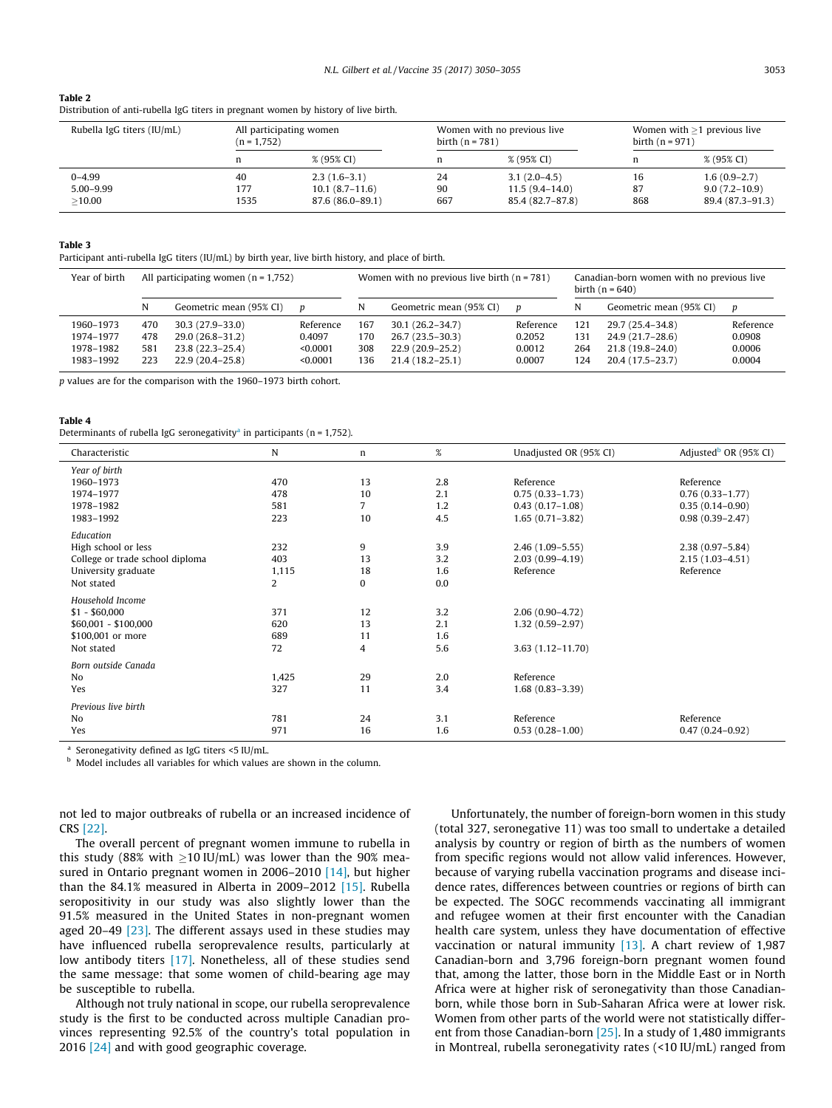# <span id="page-3-0"></span>Table 2

| Distribution of anti-rubella IgG titers in pregnant women by history of live birth. |
|-------------------------------------------------------------------------------------|
|-------------------------------------------------------------------------------------|

| Rubella IgG titers (IU/mL) | All participating women<br>$(n = 1,752)$ |                  | Women with no previous live<br>birth $(n = 781)$ |                    | Women with $\geq$ 1 previous live<br>birth $(n = 971)$ |                   |
|----------------------------|------------------------------------------|------------------|--------------------------------------------------|--------------------|--------------------------------------------------------|-------------------|
|                            | n                                        | % (95% CI)       | n                                                | % (95% CI)         | n                                                      | % (95% CI)        |
| $0 - 4.99$                 | 40                                       | $2.3(1.6-3.1)$   | 24                                               | $3.1(2.0-4.5)$     | 16                                                     | $1.6(0.9-2.7)$    |
| $5.00 - 9.99$              | 177                                      | $10.1(8.7-11.6)$ | 90                                               | $11.5(9.4 - 14.0)$ | 87                                                     | $9.0(7.2 - 10.9)$ |
| >10.00                     | 1535                                     | 87.6 (86.0–89.1) | 667                                              | 85.4 (82.7–87.8)   | 868                                                    | 89.4 (87.3–91.3)  |

### Table 3

Participant anti-rubella IgG titers (IU/mL) by birth year, live birth history, and place of birth.

| Year of birth | All participating women $(n = 1,752)$ |                         | Women with no previous live birth $(n = 781)$ |     |                         | Canadian-born women with no previous live<br>birth $(n = 640)$ |     |                         |           |
|---------------|---------------------------------------|-------------------------|-----------------------------------------------|-----|-------------------------|----------------------------------------------------------------|-----|-------------------------|-----------|
|               | N                                     | Geometric mean (95% CI) |                                               |     | Geometric mean (95% CI) | n                                                              | N   | Geometric mean (95% CI) | D         |
| 1960-1973     | 470                                   | $30.3(27.9-33.0)$       | Reference                                     | 167 | $30.1(26.2 - 34.7)$     | Reference                                                      | 121 | 29.7 (25.4–34.8)        | Reference |
| 1974-1977     | 478                                   | 29.0 (26.8-31.2)        | 0.4097                                        | 170 | $26.7(23.5-30.3)$       | 0.2052                                                         | 131 | 24.9 (21.7–28.6)        | 0.0908    |
| 1978-1982     | 581                                   | 23.8 (22.3-25.4)        | < 0.0001                                      | 308 | 22.9 (20.9–25.2)        | 0.0012                                                         | 264 | 21.8 (19.8-24.0)        | 0.0006    |
| 1983-1992     | 223                                   | $22.9(20.4-25.8)$       | < 0.0001                                      | 136 | $21.4(18.2 - 25.1)$     | 0.0007                                                         | 124 | 20.4 (17.5-23.7)        | 0.0004    |

p values are for the comparison with the 1960–1973 birth cohort.

## Table 4

| Characteristic                  | N     | n              | $\%$ | Unadjusted OR (95% CI) | Adjusted <sup>b</sup> OR (95% CI) |
|---------------------------------|-------|----------------|------|------------------------|-----------------------------------|
| Year of birth                   |       |                |      |                        |                                   |
| 1960-1973                       | 470   | 13             | 2.8  | Reference              | Reference                         |
| 1974-1977                       | 478   | 10             | 2.1  | $0.75(0.33 - 1.73)$    | $0.76(0.33 - 1.77)$               |
| 1978-1982                       | 581   | $\overline{7}$ | 1.2  | $0.43(0.17-1.08)$      | $0.35(0.14-0.90)$                 |
| 1983-1992                       | 223   | 10             | 4.5  | $1.65(0.71 - 3.82)$    | $0.98(0.39 - 2.47)$               |
| Education                       |       |                |      |                        |                                   |
| High school or less             | 232   | 9              | 3.9  | $2.46(1.09 - 5.55)$    | $2.38(0.97 - 5.84)$               |
| College or trade school diploma | 403   | 13             | 3.2  | $2.03(0.99 - 4.19)$    | $2.15(1.03 - 4.51)$               |
| University graduate             | 1,115 | 18             | 1.6  | Reference              | Reference                         |
| Not stated                      | 2     | 0              | 0.0  |                        |                                   |
| Household Income                |       |                |      |                        |                                   |
| $$1 - $60,000$                  | 371   | 12             | 3.2  | $2.06(0.90-4.72)$      |                                   |
| \$60,001 - \$100,000            | 620   | 13             | 2.1  | $1.32(0.59 - 2.97)$    |                                   |
| \$100,001 or more               | 689   | 11             | 1.6  |                        |                                   |
| Not stated                      | 72    | 4              | 5.6  | $3.63(1.12 - 11.70)$   |                                   |
| Born outside Canada             |       |                |      |                        |                                   |
| No                              | 1,425 | 29             | 2.0  | Reference              |                                   |
| Yes                             | 327   | 11             | 3.4  | $1.68(0.83 - 3.39)$    |                                   |
| Previous live birth             |       |                |      |                        |                                   |
| N <sub>o</sub>                  | 781   | 24             | 3.1  | Reference              | Reference                         |
| Yes                             | 971   | 16             | 1.6  | $0.53(0.28 - 1.00)$    | $0.47(0.24 - 0.92)$               |

Seronegativity defined as IgG titers <5 IU/mL.

<sup>b</sup> Model includes all variables for which values are shown in the column.

not led to major outbreaks of rubella or an increased incidence of CRS [\[22\].](#page-5-0)

The overall percent of pregnant women immune to rubella in this study (88% with  $\geq$ 10 IU/mL) was lower than the 90% measured in Ontario pregnant women in 2006–2010 [\[14\],](#page-5-0) but higher than the 84.1% measured in Alberta in 2009–2012 [\[15\].](#page-5-0) Rubella seropositivity in our study was also slightly lower than the 91.5% measured in the United States in non-pregnant women aged 20–49  $[23]$ . The different assays used in these studies may have influenced rubella seroprevalence results, particularly at low antibody titers [\[17\].](#page-5-0) Nonetheless, all of these studies send the same message: that some women of child-bearing age may be susceptible to rubella.

Although not truly national in scope, our rubella seroprevalence study is the first to be conducted across multiple Canadian provinces representing 92.5% of the country's total population in 2016 [\[24\]](#page-5-0) and with good geographic coverage.

Unfortunately, the number of foreign-born women in this study (total 327, seronegative 11) was too small to undertake a detailed analysis by country or region of birth as the numbers of women from specific regions would not allow valid inferences. However, because of varying rubella vaccination programs and disease incidence rates, differences between countries or regions of birth can be expected. The SOGC recommends vaccinating all immigrant and refugee women at their first encounter with the Canadian health care system, unless they have documentation of effective vaccination or natural immunity [\[13\]](#page-5-0). A chart review of 1,987 Canadian-born and 3,796 foreign-born pregnant women found that, among the latter, those born in the Middle East or in North Africa were at higher risk of seronegativity than those Canadianborn, while those born in Sub-Saharan Africa were at lower risk. Women from other parts of the world were not statistically different from those Canadian-born [\[25\].](#page-5-0) In a study of 1,480 immigrants in Montreal, rubella seronegativity rates (<10 IU/mL) ranged from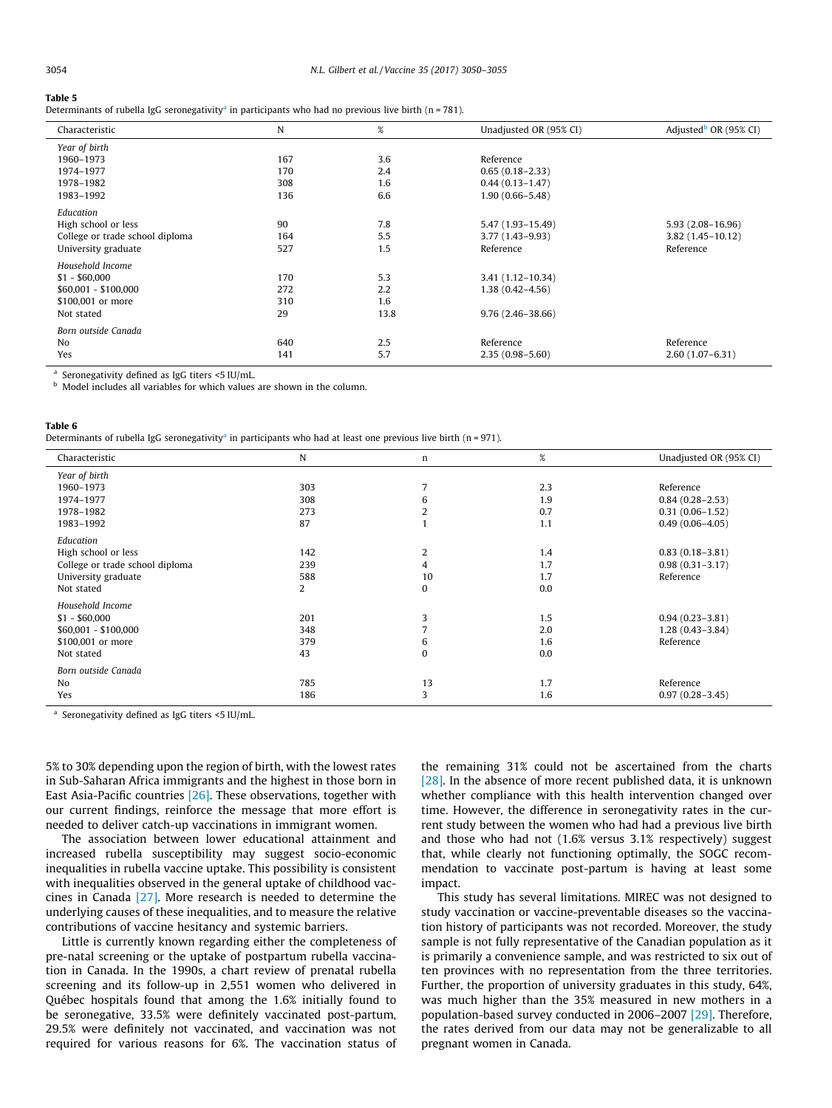#### <span id="page-4-0"></span>Table 5

Table 6

Determinants of rubella IgG seronegativity<sup>a</sup> in participants who had no previous live birth (n = 781).

| Characteristic                  | N   | $\%$ | Unadjusted OR (95% CI) | Adjusted <sup>b</sup> OR (95% CI) |
|---------------------------------|-----|------|------------------------|-----------------------------------|
| Year of birth                   |     |      |                        |                                   |
| 1960-1973                       | 167 | 3.6  | Reference              |                                   |
| 1974-1977                       | 170 | 2.4  | $0.65(0.18 - 2.33)$    |                                   |
| 1978-1982                       | 308 | 1.6  | $0.44(0.13 - 1.47)$    |                                   |
| 1983-1992                       | 136 | 6.6  | $1.90(0.66 - 5.48)$    |                                   |
| Education                       |     |      |                        |                                   |
| High school or less             | 90  | 7.8  | 5.47 (1.93-15.49)      | $5.93(2.08 - 16.96)$              |
| College or trade school diploma | 164 | 5.5  | 3.77 (1.43–9.93)       | $3.82(1.45 - 10.12)$              |
| University graduate             | 527 | 1.5  | Reference              | Reference                         |
| Household Income                |     |      |                        |                                   |
| $$1 - $60,000$                  | 170 | 5.3  | $3.41(1.12 - 10.34)$   |                                   |
| $$60,001 - $100,000$            | 272 | 2.2  | $1.38(0.42 - 4.56)$    |                                   |
| \$100,001 or more               | 310 | 1.6  |                        |                                   |
| Not stated                      | 29  | 13.8 | $9.76(2.46 - 38.66)$   |                                   |
| Born outside Canada             |     |      |                        |                                   |
| N <sub>0</sub>                  | 640 | 2.5  | Reference              | Reference                         |
| Yes                             | 141 | 5.7  | $2.35(0.98 - 5.60)$    | $2.60(1.07-6.31)$                 |

<sup>a</sup> Seronegativity defined as IgG titers <5 IU/mL.

b Model includes all variables for which values are shown in the column.

| Determinants of rubella IgG seronegativity <sup>a</sup> in participants who had at least one previous live birth ( $n = 971$ ). |
|---------------------------------------------------------------------------------------------------------------------------------|
|---------------------------------------------------------------------------------------------------------------------------------|

| Characteristic                  | N   | n  | $\%$ | Unadjusted OR (95% CI) |
|---------------------------------|-----|----|------|------------------------|
| Year of birth                   |     |    |      |                        |
| 1960-1973                       | 303 |    | 2.3  | Reference              |
| 1974-1977                       | 308 | 6  | 1.9  | $0.84(0.28 - 2.53)$    |
| 1978-1982                       | 273 | 2  | 0.7  | $0.31(0.06 - 1.52)$    |
| 1983-1992                       | 87  |    | 1.1  | $0.49(0.06 - 4.05)$    |
| Education                       |     |    |      |                        |
| High school or less             | 142 | 2  | 1.4  | $0.83(0.18 - 3.81)$    |
| College or trade school diploma | 239 | 4  | 1.7  | $0.98(0.31 - 3.17)$    |
| University graduate             | 588 | 10 | 1.7  | Reference              |
| Not stated                      | 2   |    | 0.0  |                        |
|                                 |     | 0  |      |                        |
| Household Income                |     |    |      |                        |
| $$1 - $60,000$                  | 201 | 3  | 1.5  | $0.94(0.23 - 3.81)$    |
| $$60,001 - $100,000$            | 348 |    | 2.0  | $1.28(0.43 - 3.84)$    |
| \$100,001 or more               | 379 | 6  | 1.6  | Reference              |
| Not stated                      | 43  | 0  | 0.0  |                        |
|                                 |     |    |      |                        |
| Born outside Canada             |     |    |      |                        |
| No                              | 785 | 13 | 1.7  | Reference              |
| Yes                             | 186 | 3  | 1.6  | $0.97(0.28 - 3.45)$    |

<sup>a</sup> Seronegativity defined as IgG titers <5 IU/mL.

5% to 30% depending upon the region of birth, with the lowest rates in Sub-Saharan Africa immigrants and the highest in those born in East Asia-Pacific countries [\[26\]](#page-5-0). These observations, together with our current findings, reinforce the message that more effort is needed to deliver catch-up vaccinations in immigrant women.

The association between lower educational attainment and increased rubella susceptibility may suggest socio-economic inequalities in rubella vaccine uptake. This possibility is consistent with inequalities observed in the general uptake of childhood vaccines in Canada [\[27\].](#page-5-0) More research is needed to determine the underlying causes of these inequalities, and to measure the relative contributions of vaccine hesitancy and systemic barriers.

Little is currently known regarding either the completeness of pre-natal screening or the uptake of postpartum rubella vaccination in Canada. In the 1990s, a chart review of prenatal rubella screening and its follow-up in 2,551 women who delivered in Québec hospitals found that among the 1.6% initially found to be seronegative, 33.5% were definitely vaccinated post-partum, 29.5% were definitely not vaccinated, and vaccination was not required for various reasons for 6%. The vaccination status of the remaining 31% could not be ascertained from the charts [\[28\]](#page-5-0). In the absence of more recent published data, it is unknown whether compliance with this health intervention changed over time. However, the difference in seronegativity rates in the current study between the women who had had a previous live birth and those who had not (1.6% versus 3.1% respectively) suggest that, while clearly not functioning optimally, the SOGC recommendation to vaccinate post-partum is having at least some impact.

This study has several limitations. MIREC was not designed to study vaccination or vaccine-preventable diseases so the vaccination history of participants was not recorded. Moreover, the study sample is not fully representative of the Canadian population as it is primarily a convenience sample, and was restricted to six out of ten provinces with no representation from the three territories. Further, the proportion of university graduates in this study, 64%, was much higher than the 35% measured in new mothers in a population-based survey conducted in 2006–2007 [\[29\]](#page-5-0). Therefore, the rates derived from our data may not be generalizable to all pregnant women in Canada.